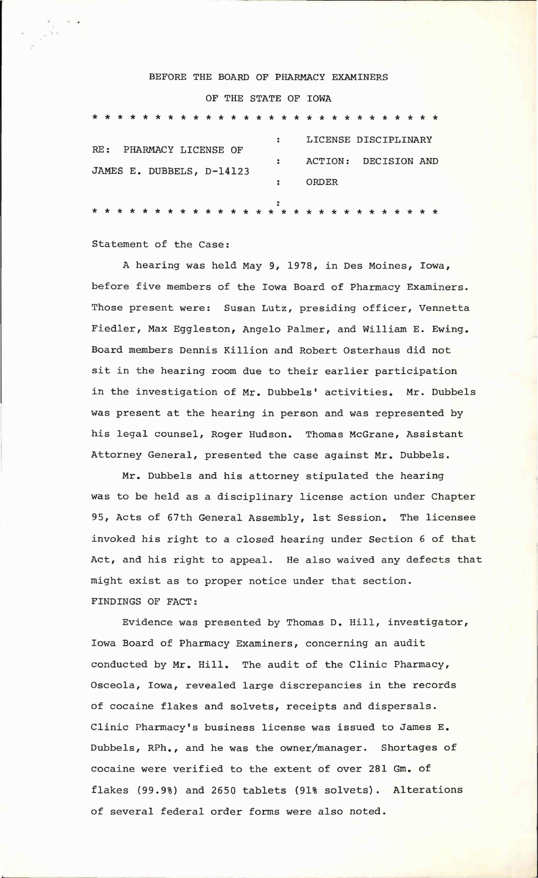## BEFORE THE BOARD OF PHARMACY EXAMINERS OF THE STATE OF IOWA

|                           | PHARMACY LICENSE OF<br>RE: |  |  |  |  |  |  |  |  |  |  |  |       |  | LICENSE DISCIPLINARY                    |  |  |  |                      |  |  |  |  |  |  |  |  |
|---------------------------|----------------------------|--|--|--|--|--|--|--|--|--|--|--|-------|--|-----------------------------------------|--|--|--|----------------------|--|--|--|--|--|--|--|--|
|                           |                            |  |  |  |  |  |  |  |  |  |  |  |       |  |                                         |  |  |  | ACTION: DECISION AND |  |  |  |  |  |  |  |  |
| JAMES E. DUBBELS, D-14123 |                            |  |  |  |  |  |  |  |  |  |  |  | ORDER |  |                                         |  |  |  |                      |  |  |  |  |  |  |  |  |
|                           |                            |  |  |  |  |  |  |  |  |  |  |  |       |  | * * * * * * * * * * * * * * * * * * * * |  |  |  |                      |  |  |  |  |  |  |  |  |

Statement of the Case:

A hearing was held May 9, 1978, in Des Moines, Iowa, before five members of the Iowa Board of Pharmacy Examiners. Those present were: Susan Lutz, presiding officer, Vennetta Fiedler, Max Eggleston, Angelo Palmer, and William E. Ewing. Board members Dennis Killion and Robert Osterhaus did not sit in the hearing room due to their earlier participation in the investigation of Mr. Dubbels' activities. Mr. Dubbels was present at the hearing in person and was represented by his legal counsel, Roger Hudson. Thomas McGrane, Assistant Attorney General, presented the case against Mr. Dubbels.

Mr. Dubbels and his attorney stipulated the hearing was to be held as a disciplinary license action under Chapter 95, Acts of 67th General Assembly, 1st Session. The licensee invoked his right to a closed hearing under Section 6 of that Act, and his right to appeal. He also waived any defects that might exist as to proper notice under that section. FINDINGS OF FACT:

Evidence was presented by Thomas D. Hill, investigator, Iowa Board of Pharmacy Examiners, concerning an audit conducted by Mr. Hill. The audit of the Clinic Pharmacy, Osceola, Iowa, revealed large discrepancies in the records of cocaine flakes and solvets, receipts and dispersals. Clinic Pharmacy's business license was issued to James E. Dubbels, RPh., and he was the owner/manager. Shortages of cocaine were verified to the extent of over 281 Gm. of flakes (99.9%) and 2650 tablets (91% solvets). Alterations of several federal order forms were also noted.